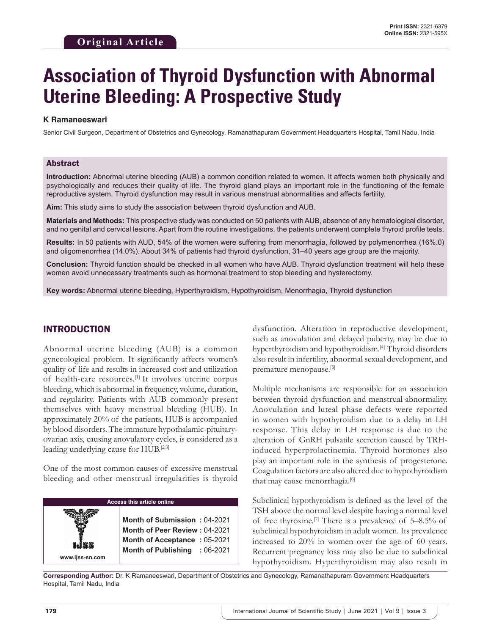# **Association of Thyroid Dysfunction with Abnormal Uterine Bleeding: A Prospective Study**

#### **K Ramaneeswari**

Senior Civil Surgeon, Department of Obstetrics and Gynecology, Ramanathapuram Government Headquarters Hospital, Tamil Nadu, India

#### Abstract

**Introduction:** Abnormal uterine bleeding (AUB) a common condition related to women. It affects women both physically and psychologically and reduces their quality of life. The thyroid gland plays an important role in the functioning of the female reproductive system. Thyroid dysfunction may result in various menstrual abnormalities and affects fertility.

**Aim:** This study aims to study the association between thyroid dysfunction and AUB.

**Materials and Methods:** This prospective study was conducted on 50 patients with AUB, absence of any hematological disorder, and no genital and cervical lesions. Apart from the routine investigations, the patients underwent complete thyroid profile tests.

**Results:** In 50 patients with AUD, 54% of the women were suffering from menorrhagia, followed by polymenorrhea (16%.0) and oligomenorrhea (14.0%). About 34% of patients had thyroid dysfunction, 31–40 years age group are the majority.

**Conclusion:** Thyroid function should be checked in all women who have AUB. Thyroid dysfunction treatment will help these women avoid unnecessary treatments such as hormonal treatment to stop bleeding and hysterectomy.

**Key words:** Abnormal uterine bleeding, Hyperthyroidism, Hypothyroidism, Menorrhagia, Thyroid dysfunction

#### INTRODUCTION

Abnormal uterine bleeding (AUB) is a common gynecological problem. It significantly affects women's quality of life and results in increased cost and utilization of health-care resources.[1] It involves uterine corpus bleeding, which is abnormal in frequency, volume, duration, and regularity. Patients with AUB commonly present themselves with heavy menstrual bleeding (HUB). In approximately 20% of the patients, HUB is accompanied by blood disorders. The immature hypothalamic-pituitaryovarian axis, causing anovulatory cycles, is considered as a leading underlying cause for HUB.<sup>[2,3]</sup>

One of the most common causes of excessive menstrual bleeding and other menstrual irregularities is thyroid



dysfunction. Alteration in reproductive development, such as anovulation and delayed puberty, may be due to hyperthyroidism and hypothyroidism.<sup>[4]</sup> Thyroid disorders also result in infertility, abnormal sexual development, and premature menopause.<sup>[5]</sup>

Multiple mechanisms are responsible for an association between thyroid dysfunction and menstrual abnormality. Anovulation and luteal phase defects were reported in women with hypothyroidism due to a delay in LH response. This delay in LH response is due to the alteration of GnRH pulsatile secretion caused by TRHinduced hyperprolactinemia. Thyroid hormones also play an important role in the synthesis of progesterone. Coagulation factors are also altered due to hypothyroidism that may cause menorrhagia.[6]

Subclinical hypothyroidism is defined as the level of the TSH above the normal level despite having a normal level of free thyroxine.<sup>[7]</sup> There is a prevalence of  $5-8.5\%$  of subclinical hypothyroidism in adult women. Its prevalence increased to 20% in women over the age of 60 years. Recurrent pregnancy loss may also be due to subclinical hypothyroidism. Hyperthyroidism may also result in

**Corresponding Author:** Dr. K Ramaneeswari, Department of Obstetrics and Gynecology, Ramanathapuram Government Headquarters Hospital, Tamil Nadu, India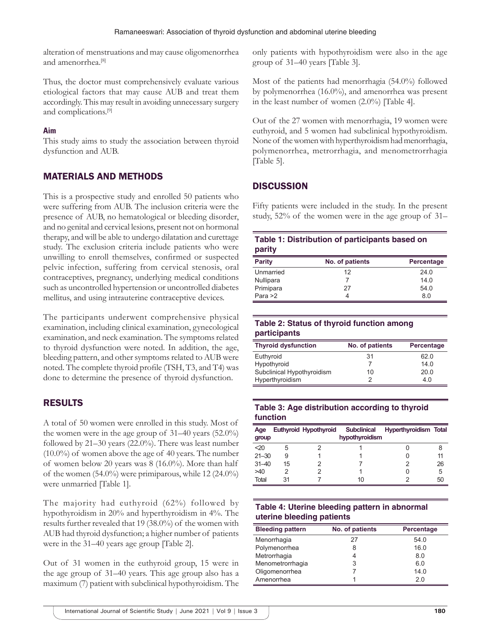alteration of menstruations and may cause oligomenorrhea and amenorrhea.<sup>[8]</sup>

Thus, the doctor must comprehensively evaluate various etiological factors that may cause AUB and treat them accordingly. This may result in avoiding unnecessary surgery and complications.[9]

## **Aim**

This study aims to study the association between thyroid dysfunction and AUB.

# MATERIALS AND METHODS

This is a prospective study and enrolled 50 patients who were suffering from AUB. The inclusion criteria were the presence of AUB, no hematological or bleeding disorder, and no genital and cervical lesions, present not on hormonal therapy, and will be able to undergo dilatation and curettage study. The exclusion criteria include patients who were unwilling to enroll themselves, confirmed or suspected pelvic infection, suffering from cervical stenosis, oral contraceptives, pregnancy, underlying medical conditions such as uncontrolled hypertension or uncontrolled diabetes mellitus, and using intrauterine contraceptive devices.

The participants underwent comprehensive physical examination, including clinical examination, gynecological examination, and neck examination. The symptoms related to thyroid dysfunction were noted. In addition, the age, bleeding pattern, and other symptoms related to AUB were noted. The complete thyroid profile (TSH, T3, and T4) was done to determine the presence of thyroid dysfunction.

# RESULTS

A total of 50 women were enrolled in this study. Most of the women were in the age group of 31–40 years (52.0%) followed by 21–30 years (22.0%). There was least number (10.0%) of women above the age of 40 years. The number of women below 20 years was 8 (16.0%). More than half of the women (54.0%) were primiparous, while 12 (24.0%) were unmarried [Table 1].

The majority had euthyroid (62%) followed by hypothyroidism in 20% and hyperthyroidism in 4%. The results further revealed that 19 (38.0%) of the women with AUB had thyroid dysfunction; a higher number of patients were in the 31–40 years age group [Table 2].

Out of 31 women in the euthyroid group, 15 were in the age group of 31–40 years. This age group also has a maximum (7) patient with subclinical hypothyroidism. The only patients with hypothyroidism were also in the age group of 31–40 years [Table 3].

Most of the patients had menorrhagia (54.0%) followed by polymenorrhea (16.0%), and amenorrhea was present in the least number of women (2.0%) [Table 4].

Out of the 27 women with menorrhagia, 19 women were euthyroid, and 5 women had subclinical hypothyroidism. None of the women with hyperthyroidism had menorrhagia, polymenorrhea, metrorrhagia, and menometrorrhagia [Table 5].

# **DISCUSSION**

Fifty patients were included in the study. In the present study, 52% of the women were in the age group of 31–

|        | Table 1: Distribution of participants based on |
|--------|------------------------------------------------|
| parity |                                                |

| <b>Parity</b> | No. of patients | Percentage |
|---------------|-----------------|------------|
| Unmarried     | 12              | 24.0       |
| Nullipara     |                 | 14.0       |
| Primipara     | 27              | 54.0       |
| Para $>2$     | 4               | 8.0        |

## **Table 2: Status of thyroid function among participants**

| <b>Thyroid dysfunction</b> | No. of patients | Percentage |
|----------------------------|-----------------|------------|
| Euthyroid                  | 31              | 62.0       |
| Hypothyroid                |                 | 14.0       |
| Subclinical Hypothyroidism | 10              | 20.0       |
| Hyperthyroidism            |                 | 4.0        |

#### **Table 3: Age distribution according to thyroid function**

| Age<br>group |    | Euthyroid Hypothyroid | <b>Subclinical</b><br>hypothyroidism | <b>Hyperthyroidism Total</b> |    |
|--------------|----|-----------------------|--------------------------------------|------------------------------|----|
| $20$         | 5  |                       |                                      |                              |    |
| $21 - 30$    | 9  |                       |                                      |                              |    |
| $31 - 40$    | 15 |                       |                                      |                              | 26 |
| >40          |    |                       |                                      |                              | 5  |
| Total        | 31 |                       | 10                                   |                              | 50 |

## **Table 4: Uterine bleeding pattern in abnormal uterine bleeding patients**

| <b>Bleeding pattern</b> | No. of patients | Percentage |  |
|-------------------------|-----------------|------------|--|
| Menorrhagia             | 27              | 54.0       |  |
| Polymenorrhea           | 8               | 16.0       |  |
| Metrorrhagia            |                 | 8.0        |  |
| Menometrorrhagia        | 3               | 6.0        |  |
| Oligomenorrhea          |                 | 14.0       |  |
| Amenorrhea              |                 | 2 በ        |  |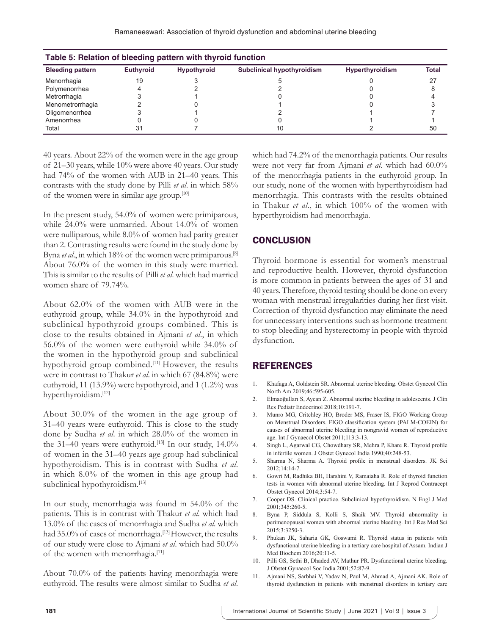| Table 5: Relation of bleeding pattern with thyroid function |                  |                    |                                   |                        |              |  |
|-------------------------------------------------------------|------------------|--------------------|-----------------------------------|------------------------|--------------|--|
| <b>Bleeding pattern</b>                                     | <b>Euthvroid</b> | <b>Hypothyroid</b> | <b>Subclinical hypothyroidism</b> | <b>Hyperthyroidism</b> | <b>Total</b> |  |
| Menorrhagia                                                 |                  |                    |                                   |                        | 27           |  |
| Polymenorrhea                                               |                  |                    |                                   |                        |              |  |
| Metrorrhagia                                                |                  |                    |                                   |                        |              |  |
| Menometrorrhagia                                            |                  |                    |                                   |                        |              |  |
| Oligomenorrhea                                              |                  |                    |                                   |                        |              |  |
| Amenorrhea                                                  |                  |                    |                                   |                        |              |  |
| Total                                                       |                  |                    |                                   |                        | 50           |  |

40 years. About 22% of the women were in the age group of 21–30 years, while 10% were above 40 years. Our study had 74% of the women with AUB in 21–40 years. This contrasts with the study done by Pilli *et al*. in which 58% of the women were in similar age group.[10]

In the present study, 54.0% of women were primiparous, while 24.0% were unmarried. About 14.0% of women were nulliparous, while 8.0% of women had parity greater than 2. Contrasting results were found in the study done by Byna *et al.*, in which 18% of the women were primiparous.<sup>[8]</sup> About 76.0% of the women in this study were married. This is similar to the results of Pilli *et al*. which had married women share of 79.74%.

About 62.0% of the women with AUB were in the euthyroid group, while 34.0% in the hypothyroid and subclinical hypothyroid groups combined. This is close to the results obtained in Ajmani *et al*., in which 56.0% of the women were euthyroid while 34.0% of the women in the hypothyroid group and subclinical hypothyroid group combined.<sup>[11]</sup> However, the results were in contrast to Thakur *et al*. in which 67 (84.8%) were euthyroid, 11 (13.9%) were hypothyroid, and 1 (1.2%) was hyperthyroidism.<sup>[12]</sup>

About 30.0% of the women in the age group of 31–40 years were euthyroid. This is close to the study done by Sudha *et al*. in which 28.0% of the women in the 31–40 years were euthyroid.<sup>[13]</sup> In our study,  $14.0\%$ of women in the 31–40 years age group had subclinical hypothyroidism. This is in contrast with Sudha *et al*. in which 8.0% of the women in this age group had subclinical hypothyroidism.<sup>[13]</sup>

In our study, menorrhagia was found in 54.0% of the patients. This is in contrast with Thakur *et al*. which had 13.0% of the cases of menorrhagia and Sudha *et al*. which had 35.0% of cases of menorrhagia.<sup>[13]</sup> However, the results of our study were close to Ajmani *et al*. which had 50.0% of the women with menorrhagia.<sup>[11]</sup>

About 70.0% of the patients having menorrhagia were euthyroid. The results were almost similar to Sudha *et al*. which had 74.2% of the menorrhagia patients. Our results were not very far from Ajmani *et al*. which had 60.0% of the menorrhagia patients in the euthyroid group. In our study, none of the women with hyperthyroidism had menorrhagia. This contrasts with the results obtained in Thakur *et al*., in which 100% of the women with hyperthyroidism had menorrhagia.

# **CONCLUSION**

Thyroid hormone is essential for women's menstrual and reproductive health. However, thyroid dysfunction is more common in patients between the ages of 31 and 40 years. Therefore, thyroid testing should be done on every woman with menstrual irregularities during her first visit. Correction of thyroid dysfunction may eliminate the need for unnecessary interventions such as hormone treatment to stop bleeding and hysterectomy in people with thyroid dysfunction.

# REFERENCES

- 1. Khafaga A, Goldstein SR. Abnormal uterine bleeding. Obstet Gynecol Clin North Am 2019;46:595-605.
- 2. Elmaoğulları S, Aycan Z. Abnormal uterine bleeding in adolescents. J Clin Res Pediatr Endocrinol 2018;10:191-7.
- 3. Munro MG, Critchley HO, Broder MS, Fraser IS, FIGO Working Group on Menstrual Disorders. FIGO classification system (PALM-COEIN) for causes of abnormal uterine bleeding in nongravid women of reproductive age. Int J Gynaecol Obstet 2011;113:3-13.
- 4. Singh L, Agarwal CG, Chowdhary SR, Mehra P, Khare R. Thyroid profile in infertile women. J Obstet Gynecol India 1990;40:248-53.
- 5. Sharma N, Sharma A. Thyroid profile in menstrual disorders. JK Sci 2012;14:14-7.
- 6. Gowri M, Radhika BH, Harshini V, Ramaiaha R. Role of thyroid function tests in women with abnormal uterine bleeding. Int J Reprod Contracept Obstet Gynecol 2014;3:54-7.
- 7. Cooper DS. Clinical practice. Subclinical hypothyroidism. N Engl J Med 2001;345:260-5.
- 8. Byna P, Siddula S, Kolli S, Shaik MV. Thyroid abnormality in perimenopausal women with abnormal uterine bleeding. Int J Res Med Sci 2015;3:3250-3.
- 9. Phukan JK, Saharia GK, Goswami R. Thyroid status in patients with dysfunctional uterine bleeding in a tertiary care hospital of Assam. Indian J Med Biochem 2016;20:11-5.
- 10. Pilli GS, Sethi B, Dhaded AV, Mathur PR. Dysfunctional uterine bleeding. J Obstet Gynaecol Soc India 2001;52:87-9.
- 11. Ajmani NS, Sarbhai V, Yadav N, Paul M, Ahmad A, Ajmani AK. Role of thyroid dysfunction in patients with menstrual disorders in tertiary care